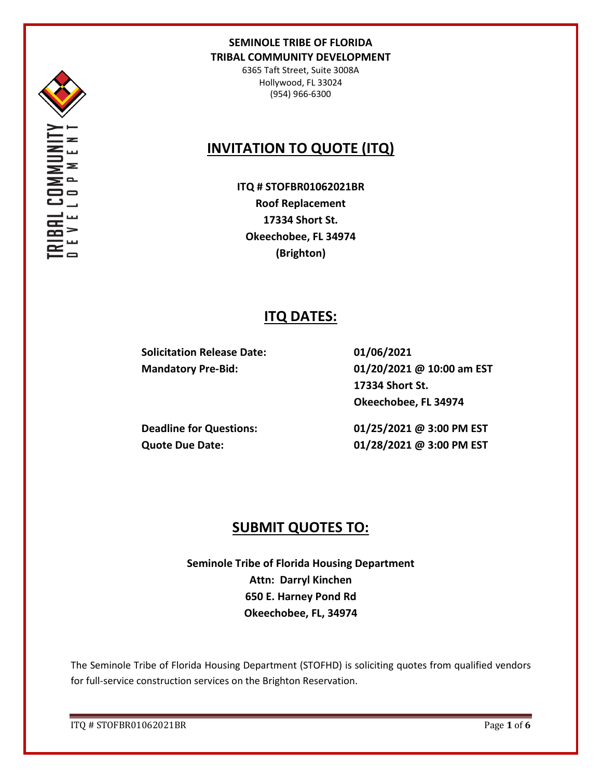

6365 Taft Street, Suite 3008A Hollywood, FL 33024 (954) 966-6300

# **INVITATION TO QUOTE (ITQ)**

**ITQ # STOFBR01062021BR Roof Replacement 17334 Short St. Okeechobee, FL 34974 (Brighton)**

## **ITQ DATES:**

**Solicitation Release Date: 01/06/2021**

**Mandatory Pre-Bid: 01/20/2021 @ 10:00 am EST 17334 Short St. Okeechobee, FL 34974**

**Deadline for Questions: 01/25/2021 @ 3:00 PM EST Quote Due Date: 01/28/2021 @ 3:00 PM EST**

# **SUBMIT QUOTES TO:**

**Seminole Tribe of Florida Housing Department Attn: Darryl Kinchen 650 E. Harney Pond Rd Okeechobee, FL, 34974**

The Seminole Tribe of Florida Housing Department (STOFHD) is soliciting quotes from qualified vendors for full-service construction services on the Brighton Reservation.

ITQ # STOFBR01062021BR Page **1** of **6**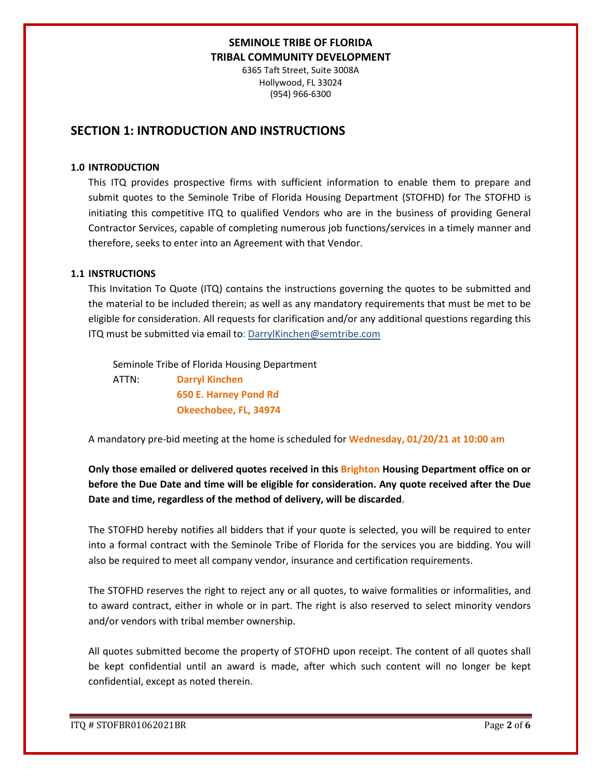6365 Taft Street, Suite 3008A Hollywood, FL 33024 (954) 966-6300

## **SECTION 1: INTRODUCTION AND INSTRUCTIONS**

#### **1.0 INTRODUCTION**

This ITQ provides prospective firms with sufficient information to enable them to prepare and submit quotes to the Seminole Tribe of Florida Housing Department (STOFHD) for The STOFHD is initiating this competitive ITQ to qualified Vendors who are in the business of providing General Contractor Services, capable of completing numerous job functions/services in a timely manner and therefore, seeks to enter into an Agreement with that Vendor.

#### **1.1 INSTRUCTIONS**

This Invitation To Quote (ITQ) contains the instructions governing the quotes to be submitted and the material to be included therein; as well as any mandatory requirements that must be met to be eligible for consideration. All requests for clarification and/or any additional questions regarding this ITQ must be submitted via email to: DarrylKinchen@semtribe.com

 Seminole Tribe of Florida Housing Department ATTN: **Darryl Kinchen**

 **650 E. Harney Pond Rd Okeechobee, FL, 34974**

A mandatory pre-bid meeting at the home is scheduled for **Wednesday, 01/20/21 at 10:00 am**

**Only those emailed or delivered quotes received in this Brighton Housing Department office on or before the Due Date and time will be eligible for consideration. Any quote received after the Due Date and time, regardless of the method of delivery, will be discarded**.

The STOFHD hereby notifies all bidders that if your quote is selected, you will be required to enter into a formal contract with the Seminole Tribe of Florida for the services you are bidding. You will also be required to meet all company vendor, insurance and certification requirements.

The STOFHD reserves the right to reject any or all quotes, to waive formalities or informalities, and to award contract, either in whole or in part. The right is also reserved to select minority vendors and/or vendors with tribal member ownership.

All quotes submitted become the property of STOFHD upon receipt. The content of all quotes shall be kept confidential until an award is made, after which such content will no longer be kept confidential, except as noted therein.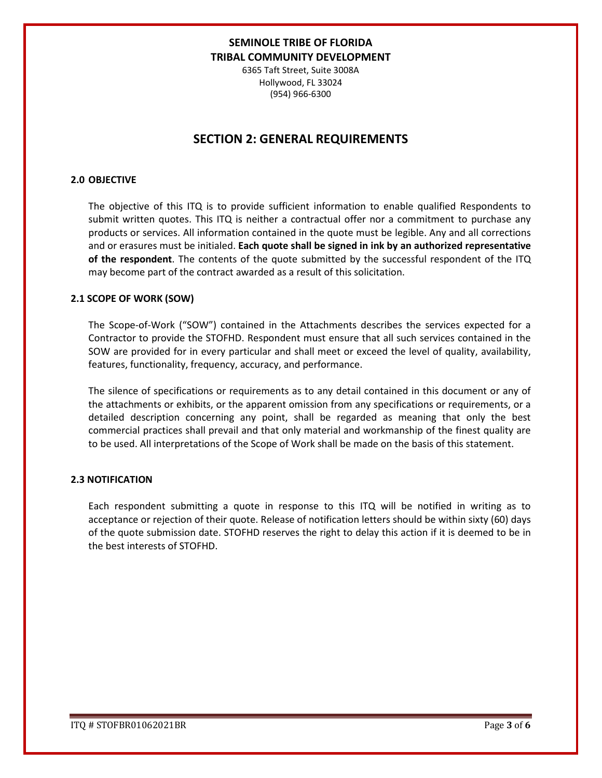6365 Taft Street, Suite 3008A Hollywood, FL 33024 (954) 966-6300

## **SECTION 2: GENERAL REQUIREMENTS**

#### **2.0 OBJECTIVE**

The objective of this ITQ is to provide sufficient information to enable qualified Respondents to submit written quotes. This ITQ is neither a contractual offer nor a commitment to purchase any products or services. All information contained in the quote must be legible. Any and all corrections and or erasures must be initialed. **Each quote shall be signed in ink by an authorized representative of the respondent**. The contents of the quote submitted by the successful respondent of the ITQ may become part of the contract awarded as a result of this solicitation.

#### **2.1 SCOPE OF WORK (SOW)**

The Scope-of-Work ("SOW") contained in the Attachments describes the services expected for a Contractor to provide the STOFHD. Respondent must ensure that all such services contained in the SOW are provided for in every particular and shall meet or exceed the level of quality, availability, features, functionality, frequency, accuracy, and performance.

The silence of specifications or requirements as to any detail contained in this document or any of the attachments or exhibits, or the apparent omission from any specifications or requirements, or a detailed description concerning any point, shall be regarded as meaning that only the best commercial practices shall prevail and that only material and workmanship of the finest quality are to be used. All interpretations of the Scope of Work shall be made on the basis of this statement.

#### **2.3 NOTIFICATION**

Each respondent submitting a quote in response to this ITQ will be notified in writing as to acceptance or rejection of their quote. Release of notification letters should be within sixty (60) days of the quote submission date. STOFHD reserves the right to delay this action if it is deemed to be in the best interests of STOFHD.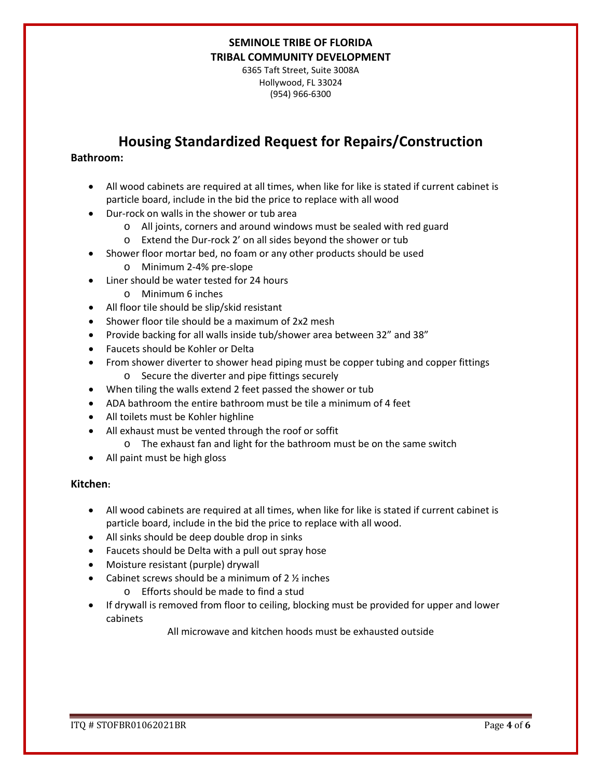6365 Taft Street, Suite 3008A Hollywood, FL 33024 (954) 966-6300

# **Housing Standardized Request for Repairs/Construction**

### **Bathroom:**

- All wood cabinets are required at all times, when like for like is stated if current cabinet is particle board, include in the bid the price to replace with all wood
- Dur-rock on walls in the shower or tub area
	- o All joints, corners and around windows must be sealed with red guard
	- o Extend the Dur-rock 2' on all sides beyond the shower or tub
- Shower floor mortar bed, no foam or any other products should be used
	- o Minimum 2-4% pre-slope
- Liner should be water tested for 24 hours
	- o Minimum 6 inches
- All floor tile should be slip/skid resistant
- Shower floor tile should be a maximum of 2x2 mesh
- Provide backing for all walls inside tub/shower area between 32" and 38"
- Faucets should be Kohler or Delta
- From shower diverter to shower head piping must be copper tubing and copper fittings o Secure the diverter and pipe fittings securely
- When tiling the walls extend 2 feet passed the shower or tub
- ADA bathroom the entire bathroom must be tile a minimum of 4 feet
- All toilets must be Kohler highline
- All exhaust must be vented through the roof or soffit
	- o The exhaust fan and light for the bathroom must be on the same switch
- All paint must be high gloss

### **Kitchen:**

- All wood cabinets are required at all times, when like for like is stated if current cabinet is particle board, include in the bid the price to replace with all wood.
- All sinks should be deep double drop in sinks
- Faucets should be Delta with a pull out spray hose
- Moisture resistant (purple) drywall
- Cabinet screws should be a minimum of  $2\frac{1}{2}$  inches
	- o Efforts should be made to find a stud
- If drywall is removed from floor to ceiling, blocking must be provided for upper and lower cabinets

All microwave and kitchen hoods must be exhausted outside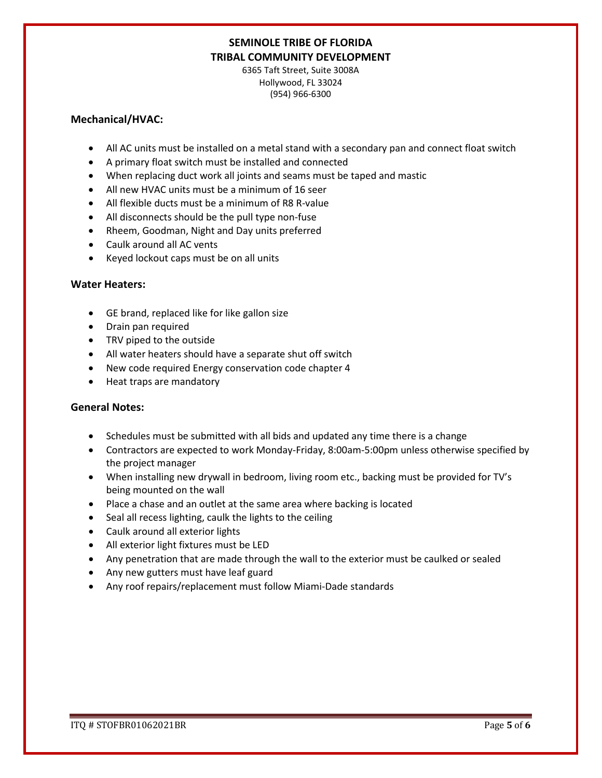6365 Taft Street, Suite 3008A Hollywood, FL 33024 (954) 966-6300

#### **Mechanical/HVAC:**

- All AC units must be installed on a metal stand with a secondary pan and connect float switch
- A primary float switch must be installed and connected
- When replacing duct work all joints and seams must be taped and mastic
- All new HVAC units must be a minimum of 16 seer
- All flexible ducts must be a minimum of R8 R-value
- All disconnects should be the pull type non-fuse
- Rheem, Goodman, Night and Day units preferred
- Caulk around all AC vents
- Keyed lockout caps must be on all units

### **Water Heaters:**

- GE brand, replaced like for like gallon size
- Drain pan required
- TRV piped to the outside
- All water heaters should have a separate shut off switch
- New code required Energy conservation code chapter 4
- Heat traps are mandatory

### **General Notes:**

- Schedules must be submitted with all bids and updated any time there is a change
- Contractors are expected to work Monday-Friday, 8:00am-5:00pm unless otherwise specified by the project manager
- When installing new drywall in bedroom, living room etc., backing must be provided for TV's being mounted on the wall
- Place a chase and an outlet at the same area where backing is located
- Seal all recess lighting, caulk the lights to the ceiling
- Caulk around all exterior lights
- All exterior light fixtures must be LED
- Any penetration that are made through the wall to the exterior must be caulked or sealed
- Any new gutters must have leaf guard
- Any roof repairs/replacement must follow Miami-Dade standards